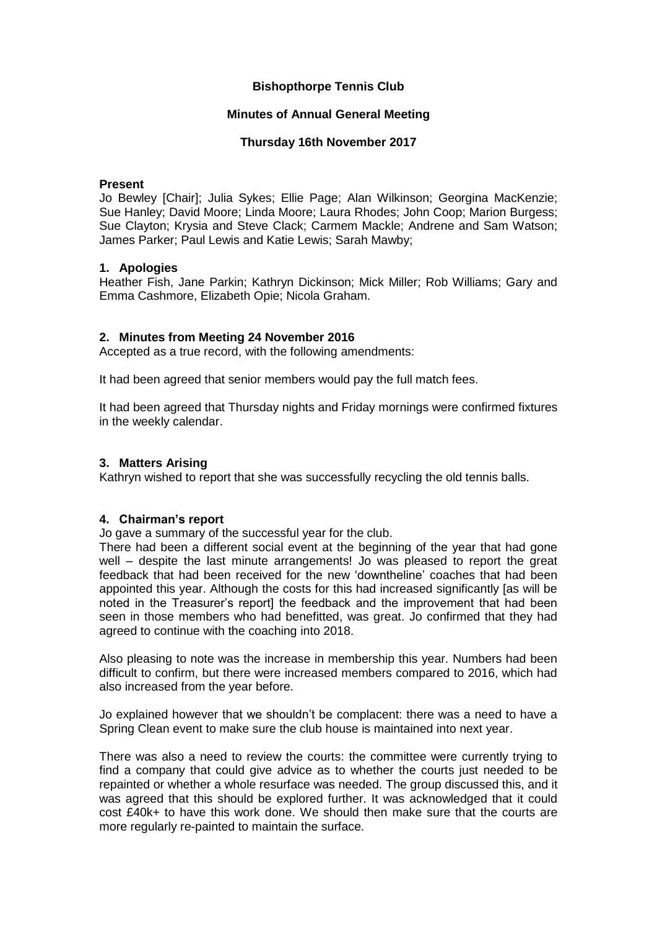### **Bishopthorpe Tennis Club**

### **Minutes of Annual General Meeting**

### **Thursday 16th November 2017**

### **Present**

Jo Bewley [Chair]; Julia Sykes; Ellie Page; Alan Wilkinson; Georgina MacKenzie; Sue Hanley; David Moore; Linda Moore; Laura Rhodes; John Coop; Marion Burgess; Sue Clayton; Krysia and Steve Clack; Carmem Mackle; Andrene and Sam Watson; James Parker; Paul Lewis and Katie Lewis; Sarah Mawby;

### **1. Apologies**

Heather Fish, Jane Parkin; Kathryn Dickinson; Mick Miller; Rob Williams; Gary and Emma Cashmore, Elizabeth Opie; Nicola Graham.

### **2. Minutes from Meeting 24 November 2016**

Accepted as a true record, with the following amendments:

It had been agreed that senior members would pay the full match fees.

It had been agreed that Thursday nights and Friday mornings were confirmed fixtures in the weekly calendar.

#### **3. Matters Arising**

Kathryn wished to report that she was successfully recycling the old tennis balls.

### **4. Chairman's report**

Jo gave a summary of the successful year for the club.

There had been a different social event at the beginning of the year that had gone well – despite the last minute arrangements! Jo was pleased to report the great feedback that had been received for the new 'downtheline' coaches that had been appointed this year. Although the costs for this had increased significantly [as will be noted in the Treasurer's report] the feedback and the improvement that had been seen in those members who had benefitted, was great. Jo confirmed that they had agreed to continue with the coaching into 2018.

Also pleasing to note was the increase in membership this year. Numbers had been difficult to confirm, but there were increased members compared to 2016, which had also increased from the year before.

Jo explained however that we shouldn't be complacent: there was a need to have a Spring Clean event to make sure the club house is maintained into next year.

There was also a need to review the courts: the committee were currently trying to find a company that could give advice as to whether the courts just needed to be repainted or whether a whole resurface was needed. The group discussed this, and it was agreed that this should be explored further. It was acknowledged that it could cost £40k+ to have this work done. We should then make sure that the courts are more regularly re-painted to maintain the surface.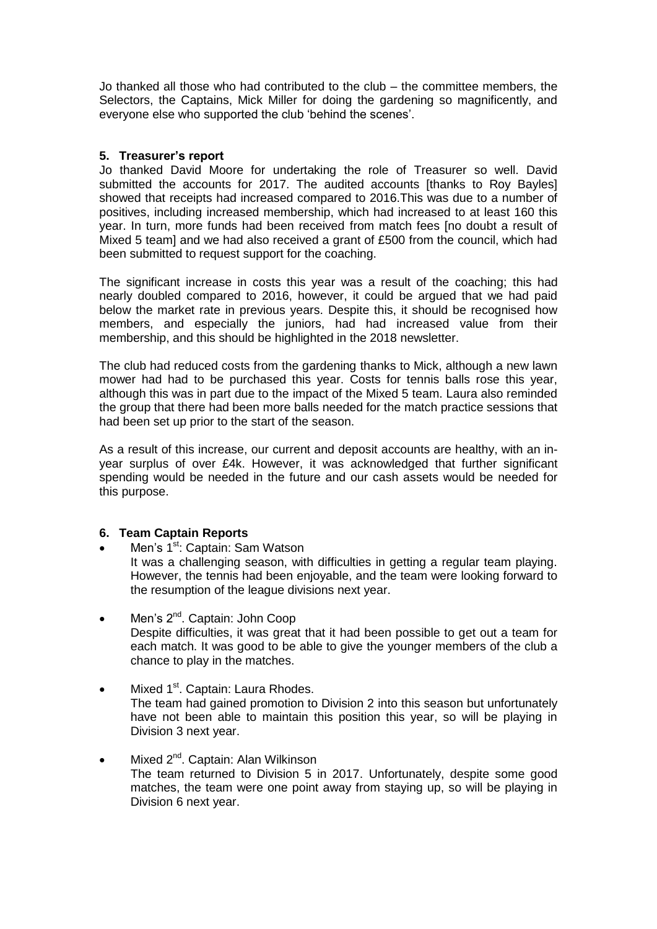Jo thanked all those who had contributed to the club – the committee members, the Selectors, the Captains, Mick Miller for doing the gardening so magnificently, and everyone else who supported the club 'behind the scenes'.

### **5. Treasurer's report**

Jo thanked David Moore for undertaking the role of Treasurer so well. David submitted the accounts for 2017. The audited accounts [thanks to Roy Bayles] showed that receipts had increased compared to 2016.This was due to a number of positives, including increased membership, which had increased to at least 160 this year. In turn, more funds had been received from match fees [no doubt a result of Mixed 5 team] and we had also received a grant of £500 from the council, which had been submitted to request support for the coaching.

The significant increase in costs this year was a result of the coaching; this had nearly doubled compared to 2016, however, it could be argued that we had paid below the market rate in previous years. Despite this, it should be recognised how members, and especially the juniors, had had increased value from their membership, and this should be highlighted in the 2018 newsletter.

The club had reduced costs from the gardening thanks to Mick, although a new lawn mower had had to be purchased this year. Costs for tennis balls rose this year, although this was in part due to the impact of the Mixed 5 team. Laura also reminded the group that there had been more balls needed for the match practice sessions that had been set up prior to the start of the season.

As a result of this increase, our current and deposit accounts are healthy, with an inyear surplus of over £4k. However, it was acknowledged that further significant spending would be needed in the future and our cash assets would be needed for this purpose.

# **6. Team Captain Reports**

- Men's 1<sup>st</sup>: Captain: Sam Watson It was a challenging season, with difficulties in getting a regular team playing. However, the tennis had been enjoyable, and the team were looking forward to the resumption of the league divisions next year.
- Men's 2<sup>nd</sup>. Captain: John Coop Despite difficulties, it was great that it had been possible to get out a team for each match. It was good to be able to give the younger members of the club a chance to play in the matches.
- $\bullet$  Mixed 1<sup>st</sup>. Captain: Laura Rhodes. The team had gained promotion to Division 2 into this season but unfortunately have not been able to maintain this position this year, so will be playing in Division 3 next year.
- $\bullet$  Mixed 2<sup>nd</sup>. Captain: Alan Wilkinson The team returned to Division 5 in 2017. Unfortunately, despite some good matches, the team were one point away from staying up, so will be playing in Division 6 next year.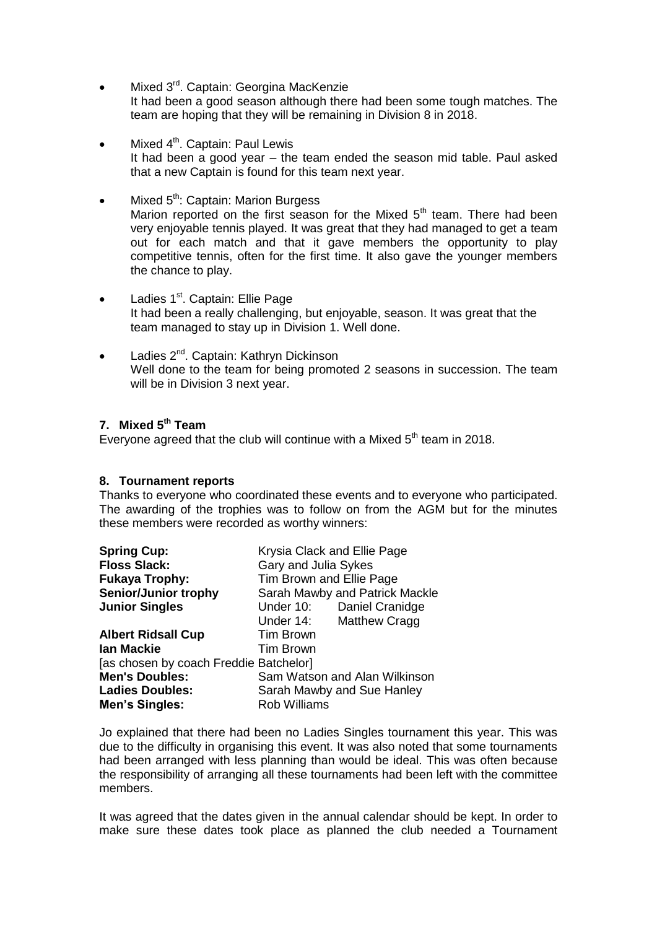- Mixed 3<sup>rd</sup>. Captain: Georgina MacKenzie It had been a good season although there had been some tough matches. The team are hoping that they will be remaining in Division 8 in 2018.
- Mixed 4<sup>th</sup>. Captain: Paul Lewis It had been a good year – the team ended the season mid table. Paul asked that a new Captain is found for this team next year.
- Mixed 5<sup>th</sup>: Captain: Marion Burgess Marion reported on the first season for the Mixed  $5<sup>th</sup>$  team. There had been very enjoyable tennis played. It was great that they had managed to get a team out for each match and that it gave members the opportunity to play competitive tennis, often for the first time. It also gave the younger members the chance to play.
- Ladies 1<sup>st</sup>. Captain: Ellie Page It had been a really challenging, but enjoyable, season. It was great that the team managed to stay up in Division 1. Well done.
- Ladies 2<sup>nd</sup>. Captain: Kathryn Dickinson Well done to the team for being promoted 2 seasons in succession. The team will be in Division 3 next year.

### **7. Mixed 5th Team**

Everyone agreed that the club will continue with a Mixed  $5<sup>th</sup>$  team in 2018.

### **8. Tournament reports**

Thanks to everyone who coordinated these events and to everyone who participated. The awarding of the trophies was to follow on from the AGM but for the minutes these members were recorded as worthy winners:

| <b>Spring Cup:</b>                     | Krysia Clack and Ellie Page       |  |
|----------------------------------------|-----------------------------------|--|
| <b>Floss Slack:</b>                    | Gary and Julia Sykes              |  |
| <b>Fukaya Trophy:</b>                  | Tim Brown and Ellie Page          |  |
| <b>Senior/Junior trophy</b>            | Sarah Mawby and Patrick Mackle    |  |
| <b>Junior Singles</b>                  | Daniel Cranidge<br>Under 10:      |  |
|                                        | <b>Matthew Cragg</b><br>Under 14: |  |
| <b>Albert Ridsall Cup</b>              | <b>Tim Brown</b>                  |  |
| <b>lan Mackie</b>                      | <b>Tim Brown</b>                  |  |
| [as chosen by coach Freddie Batchelor] |                                   |  |
| <b>Men's Doubles:</b>                  | Sam Watson and Alan Wilkinson     |  |
| <b>Ladies Doubles:</b>                 | Sarah Mawby and Sue Hanley        |  |
| <b>Men's Singles:</b>                  | <b>Rob Williams</b>               |  |

Jo explained that there had been no Ladies Singles tournament this year. This was due to the difficulty in organising this event. It was also noted that some tournaments had been arranged with less planning than would be ideal. This was often because the responsibility of arranging all these tournaments had been left with the committee members.

It was agreed that the dates given in the annual calendar should be kept. In order to make sure these dates took place as planned the club needed a Tournament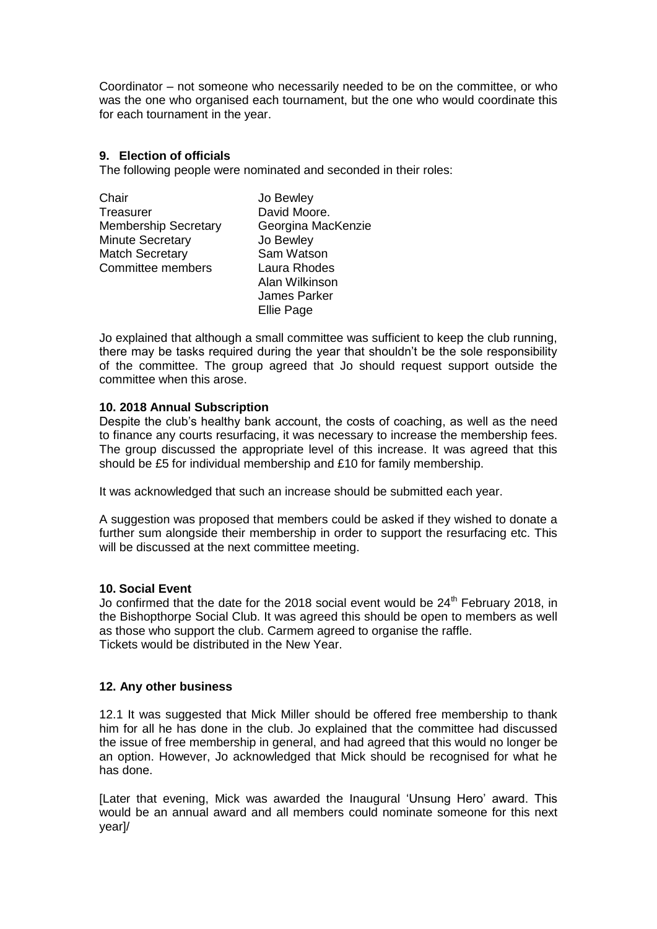Coordinator – not someone who necessarily needed to be on the committee, or who was the one who organised each tournament, but the one who would coordinate this for each tournament in the year.

# **9. Election of officials**

The following people were nominated and seconded in their roles:

| Chair                       | Jo Bewley           |
|-----------------------------|---------------------|
| Treasurer                   | David Moore.        |
| <b>Membership Secretary</b> | Georgina MacKenzie  |
| <b>Minute Secretary</b>     | Jo Bewley           |
| <b>Match Secretary</b>      | Sam Watson          |
| Committee members           | Laura Rhodes        |
|                             | Alan Wilkinson      |
|                             | <b>James Parker</b> |
|                             | <b>Ellie Page</b>   |

Jo explained that although a small committee was sufficient to keep the club running, there may be tasks required during the year that shouldn't be the sole responsibility of the committee. The group agreed that Jo should request support outside the committee when this arose.

# **10. 2018 Annual Subscription**

Despite the club's healthy bank account, the costs of coaching, as well as the need to finance any courts resurfacing, it was necessary to increase the membership fees. The group discussed the appropriate level of this increase. It was agreed that this should be £5 for individual membership and £10 for family membership.

It was acknowledged that such an increase should be submitted each year.

A suggestion was proposed that members could be asked if they wished to donate a further sum alongside their membership in order to support the resurfacing etc. This will be discussed at the next committee meeting.

# **10. Social Event**

Jo confirmed that the date for the 2018 social event would be  $24<sup>th</sup>$  February 2018, in the Bishopthorpe Social Club. It was agreed this should be open to members as well as those who support the club. Carmem agreed to organise the raffle. Tickets would be distributed in the New Year.

# **12. Any other business**

12.1 It was suggested that Mick Miller should be offered free membership to thank him for all he has done in the club. Jo explained that the committee had discussed the issue of free membership in general, and had agreed that this would no longer be an option. However, Jo acknowledged that Mick should be recognised for what he has done.

[Later that evening, Mick was awarded the Inaugural 'Unsung Hero' award. This would be an annual award and all members could nominate someone for this next year]/